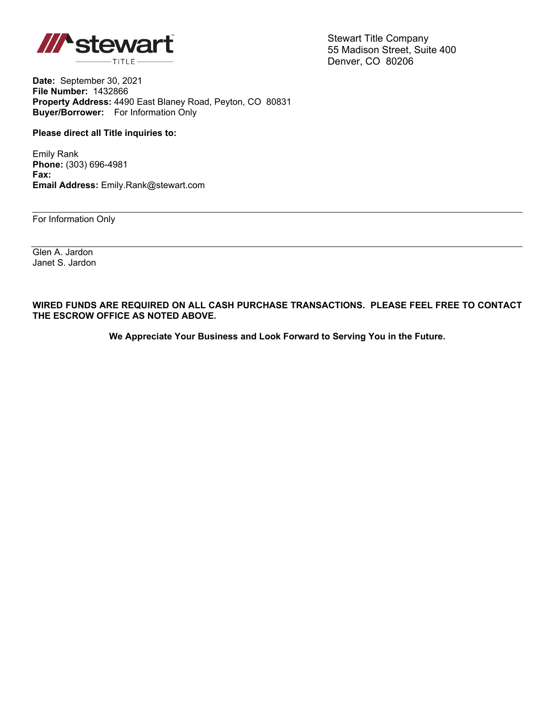

Stewart Title Company 55 Madison Street, Suite 400 Denver, CO 80206

**Date:** September 30, 2021 **File Number:** 1432866 **Property Address:** 4490 East Blaney Road, Peyton, CO 80831 **Buyer/Borrower:** For Information Only

## **Please direct all Title inquiries to:**

Emily Rank **Phone:** (303) 696-4981 **Fax: Email Address:** Emily.Rank@stewart.com

For Information Only

Glen A. Jardon Janet S. Jardon

**WIRED FUNDS ARE REQUIRED ON ALL CASH PURCHASE TRANSACTIONS. PLEASE FEEL FREE TO CONTACT THE ESCROW OFFICE AS NOTED ABOVE.**

**We Appreciate Your Business and Look Forward to Serving You in the Future.**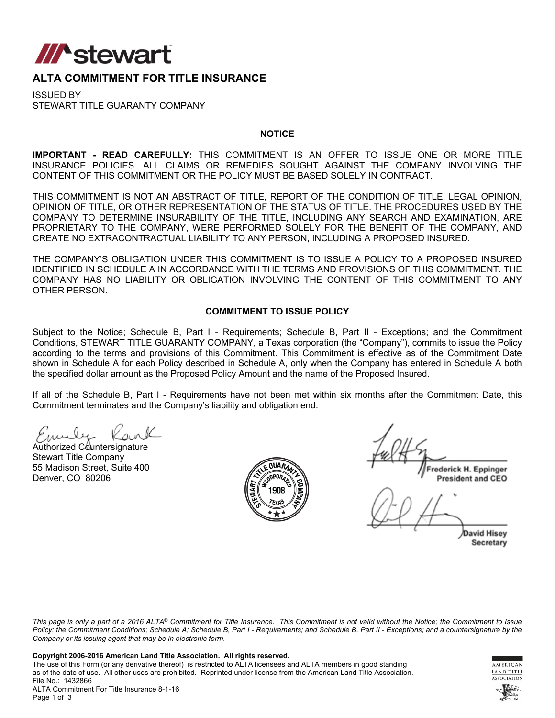

## **ALTA COMMITMENT FOR TITLE INSURANCE**

ISSUED BY STEWART TITLE GUARANTY COMPANY

## **NOTICE**

**IMPORTANT - READ CAREFULLY:** THIS COMMITMENT IS AN OFFER TO ISSUE ONE OR MORE TITLE INSURANCE POLICIES. ALL CLAIMS OR REMEDIES SOUGHT AGAINST THE COMPANY INVOLVING THE CONTENT OF THIS COMMITMENT OR THE POLICY MUST BE BASED SOLELY IN CONTRACT.

THIS COMMITMENT IS NOT AN ABSTRACT OF TITLE, REPORT OF THE CONDITION OF TITLE, LEGAL OPINION, OPINION OF TITLE, OR OTHER REPRESENTATION OF THE STATUS OF TITLE. THE PROCEDURES USED BY THE COMPANY TO DETERMINE INSURABILITY OF THE TITLE, INCLUDING ANY SEARCH AND EXAMINATION, ARE PROPRIETARY TO THE COMPANY, WERE PERFORMED SOLELY FOR THE BENEFIT OF THE COMPANY, AND CREATE NO EXTRACONTRACTUAL LIABILITY TO ANY PERSON, INCLUDING A PROPOSED INSURED.

THE COMPANY'S OBLIGATION UNDER THIS COMMITMENT IS TO ISSUE A POLICY TO A PROPOSED INSURED IDENTIFIED IN SCHEDULE A IN ACCORDANCE WITH THE TERMS AND PROVISIONS OF THIS COMMITMENT. THE COMPANY HAS NO LIABILITY OR OBLIGATION INVOLVING THE CONTENT OF THIS COMMITMENT TO ANY OTHER PERSON.

## **COMMITMENT TO ISSUE POLICY**

Subject to the Notice; Schedule B, Part I - Requirements; Schedule B, Part II - Exceptions; and the Commitment Conditions, STEWART TITLE GUARANTY COMPANY, a Texas corporation (the "Company"), commits to issue the Policy according to the terms and provisions of this Commitment. This Commitment is effective as of the Commitment Date shown in Schedule A for each Policy described in Schedule A, only when the Company has entered in Schedule A both the specified dollar amount as the Proposed Policy Amount and the name of the Proposed Insured.

If all of the Schedule B, Part I - Requirements have not been met within six months after the Commitment Date, this Commitment terminates and the Company's liability and obligation end.

Authorized Countersignature Stewart Title Company 55 Madison Street, Suite 400 Denver, CO 80206



rederick H. Eppinger **President and CEO** 

**David Hisey** Secretary

*This page is only a part of a 2016 ALTA® Commitment for Title Insurance. This Commitment is not valid without the Notice; the Commitment to Issue Policy; the Commitment Conditions; Schedule A; Schedule B, Part I - Requirements; and Schedule B, Part II - Exceptions; and a countersignature by the Company or its issuing agent that may be in electronic form.*



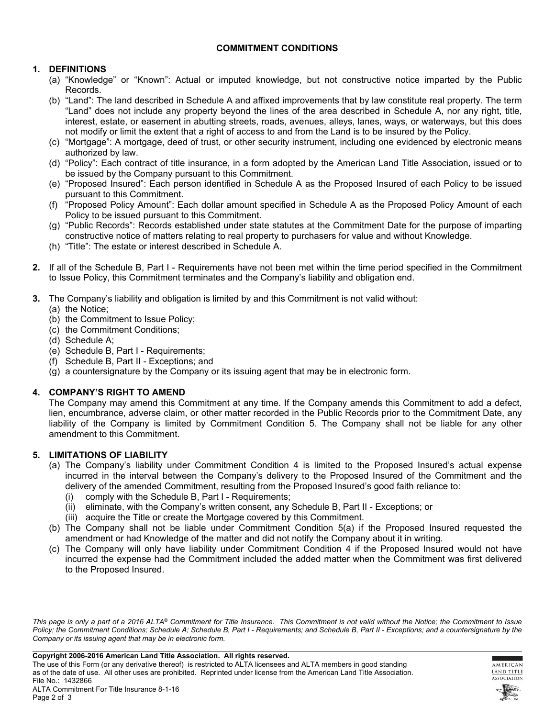## **COMMITMENT CONDITIONS**

## **1. DEFINITIONS**

- (a) "Knowledge" or "Known": Actual or imputed knowledge, but not constructive notice imparted by the Public Records.
- (b) "Land": The land described in Schedule A and affixed improvements that by law constitute real property. The term "Land" does not include any property beyond the lines of the area described in Schedule A, nor any right, title, interest, estate, or easement in abutting streets, roads, avenues, alleys, lanes, ways, or waterways, but this does not modify or limit the extent that a right of access to and from the Land is to be insured by the Policy.
- (c) "Mortgage": A mortgage, deed of trust, or other security instrument, including one evidenced by electronic means authorized by law.
- (d) "Policy": Each contract of title insurance, in a form adopted by the American Land Title Association, issued or to be issued by the Company pursuant to this Commitment.
- (e) "Proposed Insured": Each person identified in Schedule A as the Proposed Insured of each Policy to be issued pursuant to this Commitment.
- (f) "Proposed Policy Amount": Each dollar amount specified in Schedule A as the Proposed Policy Amount of each Policy to be issued pursuant to this Commitment.
- (g) "Public Records": Records established under state statutes at the Commitment Date for the purpose of imparting constructive notice of matters relating to real property to purchasers for value and without Knowledge.
- (h) "Title": The estate or interest described in Schedule A.
- **2.** If all of the Schedule B, Part I Requirements have not been met within the time period specified in the Commitment to Issue Policy, this Commitment terminates and the Company's liability and obligation end.
- **3.** The Company's liability and obligation is limited by and this Commitment is not valid without:
	- (a) the Notice;
	- (b) the Commitment to Issue Policy;
	- (c) the Commitment Conditions;
	- (d) Schedule A;
	- (e) Schedule B, Part I Requirements;
	- (f) Schedule B, Part II Exceptions; and
	- (g) a countersignature by the Company or its issuing agent that may be in electronic form.

## **4. COMPANY'S RIGHT TO AMEND**

The Company may amend this Commitment at any time. If the Company amends this Commitment to add a defect, lien, encumbrance, adverse claim, or other matter recorded in the Public Records prior to the Commitment Date, any liability of the Company is limited by Commitment Condition 5. The Company shall not be liable for any other amendment to this Commitment.

## **5. LIMITATIONS OF LIABILITY**

- (a) The Company's liability under Commitment Condition 4 is limited to the Proposed Insured's actual expense incurred in the interval between the Company's delivery to the Proposed Insured of the Commitment and the delivery of the amended Commitment, resulting from the Proposed Insured's good faith reliance to:
	- (i) comply with the Schedule B, Part I Requirements;
	- (ii) eliminate, with the Company's written consent, any Schedule B, Part II Exceptions; or
	- (iii) acquire the Title or create the Mortgage covered by this Commitment.
- (b) The Company shall not be liable under Commitment Condition 5(a) if the Proposed Insured requested the amendment or had Knowledge of the matter and did not notify the Company about it in writing.
- (c) The Company will only have liability under Commitment Condition 4 if the Proposed Insured would not have incurred the expense had the Commitment included the added matter when the Commitment was first delivered to the Proposed Insured.

*This page is only a part of a 2016 ALTA® Commitment for Title Insurance. This Commitment is not valid without the Notice; the Commitment to Issue*  Policy; the Commitment Conditions; Schedule A; Schedule B, Part I - Requirements; and Schedule B, Part II - Exceptions; and a countersignature by the *Company or its issuing agent that may be in electronic form.*



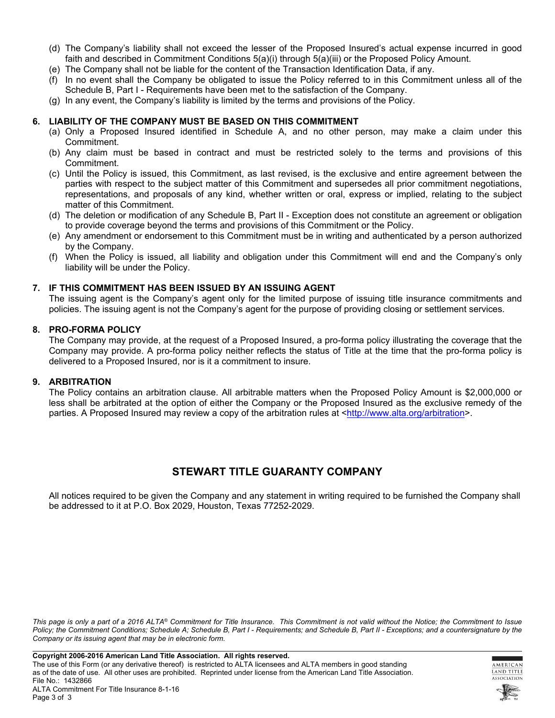- (d) The Company's liability shall not exceed the lesser of the Proposed Insured's actual expense incurred in good faith and described in Commitment Conditions 5(a)(i) through 5(a)(iii) or the Proposed Policy Amount.
- (e) The Company shall not be liable for the content of the Transaction Identification Data, if any.
- (f) In no event shall the Company be obligated to issue the Policy referred to in this Commitment unless all of the Schedule B, Part I - Requirements have been met to the satisfaction of the Company.
- (g) In any event, the Company's liability is limited by the terms and provisions of the Policy.

## **6. LIABILITY OF THE COMPANY MUST BE BASED ON THIS COMMITMENT**

- (a) Only a Proposed Insured identified in Schedule A, and no other person, may make a claim under this Commitment.
- (b) Any claim must be based in contract and must be restricted solely to the terms and provisions of this Commitment.
- (c) Until the Policy is issued, this Commitment, as last revised, is the exclusive and entire agreement between the parties with respect to the subject matter of this Commitment and supersedes all prior commitment negotiations, representations, and proposals of any kind, whether written or oral, express or implied, relating to the subject matter of this Commitment.
- (d) The deletion or modification of any Schedule B, Part II Exception does not constitute an agreement or obligation to provide coverage beyond the terms and provisions of this Commitment or the Policy.
- (e) Any amendment or endorsement to this Commitment must be in writing and authenticated by a person authorized by the Company.
- (f) When the Policy is issued, all liability and obligation under this Commitment will end and the Company's only liability will be under the Policy.

## **7. IF THIS COMMITMENT HAS BEEN ISSUED BY AN ISSUING AGENT**

The issuing agent is the Company's agent only for the limited purpose of issuing title insurance commitments and policies. The issuing agent is not the Company's agent for the purpose of providing closing or settlement services.

## **8. PRO-FORMA POLICY**

The Company may provide, at the request of a Proposed Insured, a pro-forma policy illustrating the coverage that the Company may provide. A pro-forma policy neither reflects the status of Title at the time that the pro-forma policy is delivered to a Proposed Insured, nor is it a commitment to insure.

## **9. ARBITRATION**

The Policy contains an arbitration clause. All arbitrable matters when the Proposed Policy Amount is \$2,000,000 or less shall be arbitrated at the option of either the Company or the Proposed Insured as the exclusive remedy of the parties. A Proposed Insured may review a copy of the arbitration rules at <[http://www.alta.org/arbitration>](http://www.alta.org/arbitration).

## **STEWART TITLE GUARANTY COMPANY**

All notices required to be given the Company and any statement in writing required to be furnished the Company shall be addressed to it at P.O. Box 2029, Houston, Texas 77252-2029.

*This page is only a part of a 2016 ALTA® Commitment for Title Insurance. This Commitment is not valid without the Notice; the Commitment to Issue*  Policy; the Commitment Conditions; Schedule A; Schedule B, Part I - Requirements; and Schedule B, Part II - Exceptions; and a countersignature by the *Company or its issuing agent that may be in electronic form.*



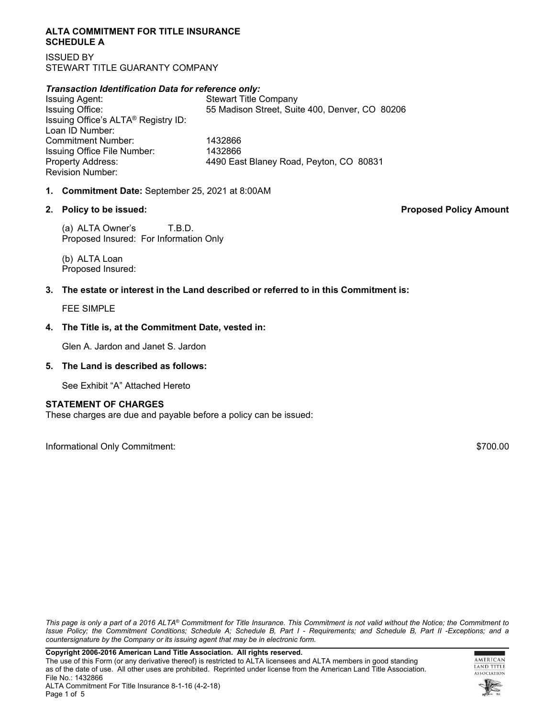## **ALTA COMMITMENT FOR TITLE INSURANCE SCHEDULE A**

ISSUED BY STEWART TITLE GUARANTY COMPANY

## *Transaction Identification Data for reference only:*

Issuing Agent: Stewart Title Company Issuing Office: 55 Madison Street, Suite 400, Denver, CO 80206 Issuing Office's ALTA® Registry ID: Loan ID Number: Commitment Number: 1432866 Issuing Office File Number: 1432866 Property Address: 4490 East Blaney Road, Peyton, CO 80831 Revision Number:

## **1. Commitment Date:** September 25, 2021 at 8:00AM

(a) ALTA Owner's T.B.D. Proposed Insured: For Information Only

(b) ALTA Loan Proposed Insured:

## **3. The estate or interest in the Land described or referred to in this Commitment is:**

FEE SIMPLE

## **4. The Title is, at the Commitment Date, vested in:**

Glen A. Jardon and Janet S. Jardon

## **5. The Land is described as follows:**

See Exhibit "A" Attached Hereto

## **STATEMENT OF CHARGES**

These charges are due and payable before a policy can be issued:

Informational Only Commitment: \$700.00

*This page is only a part of a 2016 ALTA® Commitment for Title Insurance. This Commitment is not valid without the Notice; the Commitment to Issue Policy; the Commitment Conditions; Schedule A; Schedule B, Part I - Requirements; and Schedule B, Part II -Exceptions; and a countersignature by the Company or its issuing agent that may be in electronic form.*





**2. Policy to be issued: Proposed Policy Amount**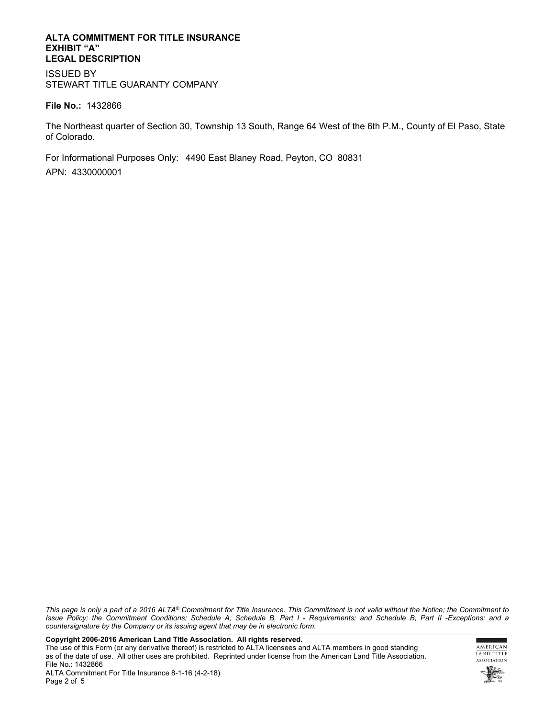## **ALTA COMMITMENT FOR TITLE INSURANCE EXHIBIT "A" LEGAL DESCRIPTION**

ISSUED BY STEWART TITLE GUARANTY COMPANY

## **File No.:** 1432866

The Northeast quarter of Section 30, Township 13 South, Range 64 West of the 6th P.M., County of El Paso, State of Colorado.

For Informational Purposes Only: 4490 East Blaney Road, Peyton, CO 80831 APN: 4330000001

*This page is only a part of a 2016 ALTA® Commitment for Title Insurance. This Commitment is not valid without the Notice; the Commitment to Issue Policy; the Commitment Conditions; Schedule A; Schedule B, Part I - Requirements; and Schedule B, Part II -Exceptions; and a countersignature by the Company or its issuing agent that may be in electronic form.*

**Copyright 2006-2016 American Land Title Association. All rights reserved.** 

The use of this Form (or any derivative thereof) is restricted to ALTA licensees and ALTA members in good standing as of the date of use. All other uses are prohibited. Reprinted under license from the American Land Title Association. File No.: 1432866

ALTA Commitment For Title Insurance 8-1-16 (4-2-18) Page 2 of 5



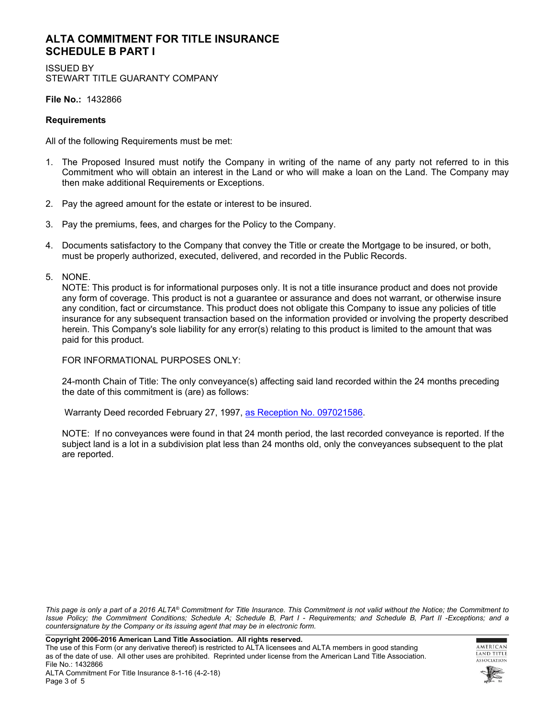## **ALTA COMMITMENT FOR TITLE INSURANCE SCHEDULE B PART I**

ISSUED BY STEWART TITLE GUARANTY COMPANY

**File No.:** 1432866

## **Requirements**

All of the following Requirements must be met:

- 1. The Proposed Insured must notify the Company in writing of the name of any party not referred to in this Commitment who will obtain an interest in the Land or who will make a loan on the Land. The Company may then make additional Requirements or Exceptions.
- 2. Pay the agreed amount for the estate or interest to be insured.
- 3. Pay the premiums, fees, and charges for the Policy to the Company.
- 4. Documents satisfactory to the Company that convey the Title or create the Mortgage to be insured, or both, must be properly authorized, executed, delivered, and recorded in the Public Records.
- 5. NONE.

NOTE: This product is for informational purposes only. It is not a title insurance product and does not provide any form of coverage. This product is not a guarantee or assurance and does not warrant, or otherwise insure any condition, fact or circumstance. This product does not obligate this Company to issue any policies of title insurance for any subsequent transaction based on the information provided or involving the property described herein. This Company's sole liability for any error(s) relating to this product is limited to the amount that was paid for this product.

FOR INFORMATIONAL PURPOSES ONLY:

24-month Chain of Title: The only conveyance(s) affecting said land recorded within the 24 months preceding the date of this commitment is (are) as follows:

Warranty Deed recorded February 27, 1997, [as Reception No. 097021586](https://starters.stewartworkplace.com/SSF/GetDocument?docId=3193309&stateFips=8&areaFips=41&rnd=902815564&ver=0&recTypeId=627&ext=tiff&forceFormat=PDF).

NOTE: If no conveyances were found in that 24 month period, the last recorded conveyance is reported. If the subject land is a lot in a subdivision plat less than 24 months old, only the conveyances subsequent to the plat are reported.

*This page is only a part of a 2016 ALTA® Commitment for Title Insurance. This Commitment is not valid without the Notice; the Commitment to Issue Policy; the Commitment Conditions; Schedule A; Schedule B, Part I - Requirements; and Schedule B, Part II -Exceptions; and a countersignature by the Company or its issuing agent that may be in electronic form.*

**Copyright 2006-2016 American Land Title Association. All rights reserved.** 

The use of this Form (or any derivative thereof) is restricted to ALTA licensees and ALTA members in good standing as of the date of use. All other uses are prohibited. Reprinted under license from the American Land Title Association. File No.: 1432866



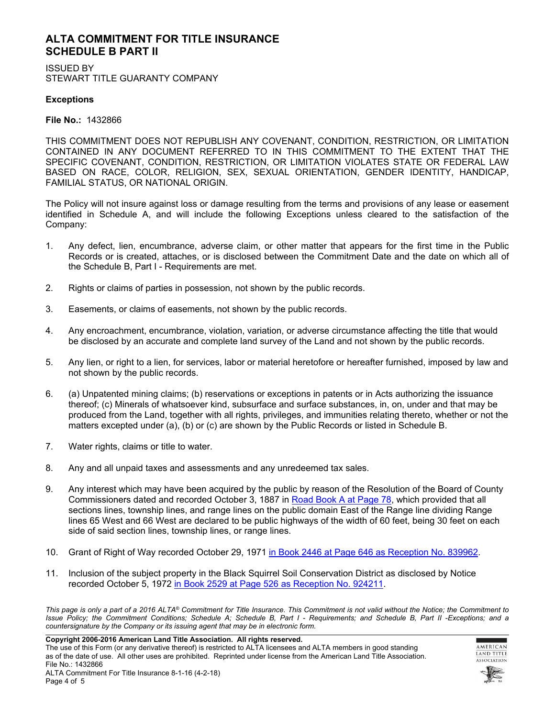## **ALTA COMMITMENT FOR TITLE INSURANCE SCHEDULE B PART II**

ISSUED BY STEWART TITLE GUARANTY COMPANY

## **Exceptions**

**File No.:** 1432866

THIS COMMITMENT DOES NOT REPUBLISH ANY COVENANT, CONDITION, RESTRICTION, OR LIMITATION CONTAINED IN ANY DOCUMENT REFERRED TO IN THIS COMMITMENT TO THE EXTENT THAT THE SPECIFIC COVENANT, CONDITION, RESTRICTION, OR LIMITATION VIOLATES STATE OR FEDERAL LAW BASED ON RACE, COLOR, RELIGION, SEX, SEXUAL ORIENTATION, GENDER IDENTITY, HANDICAP, FAMILIAL STATUS, OR NATIONAL ORIGIN.

The Policy will not insure against loss or damage resulting from the terms and provisions of any lease or easement identified in Schedule A, and will include the following Exceptions unless cleared to the satisfaction of the Company:

- 1. Any defect, lien, encumbrance, adverse claim, or other matter that appears for the first time in the Public Records or is created, attaches, or is disclosed between the Commitment Date and the date on which all of the Schedule B, Part I - Requirements are met.
- 2. Rights or claims of parties in possession, not shown by the public records.
- 3. Easements, or claims of easements, not shown by the public records.
- 4. Any encroachment, encumbrance, violation, variation, or adverse circumstance affecting the title that would be disclosed by an accurate and complete land survey of the Land and not shown by the public records.
- 5. Any lien, or right to a lien, for services, labor or material heretofore or hereafter furnished, imposed by law and not shown by the public records.
- 6. (a) Unpatented mining claims; (b) reservations or exceptions in patents or in Acts authorizing the issuance thereof; (c) Minerals of whatsoever kind, subsurface and surface substances, in, on, under and that may be produced from the Land, together with all rights, privileges, and immunities relating thereto, whether or not the matters excepted under (a), (b) or (c) are shown by the Public Records or listed in Schedule B.
- 7. Water rights, claims or title to water.
- 8. Any and all unpaid taxes and assessments and any unredeemed tax sales.
- 9. Any interest which may have been acquired by the public by reason of the Resolution of the Board of County Commissioners dated and recorded October 3, 1887 in [Road Book A at Page 78,](https://starters.stewartworkplace.com/SSF/GetDocument?docId=77839&stateFips=8&areaFips=41&rnd=1496465485&ver=0&recTypeId=10764&ext=pdf&dummy=1dr4gk0sffqnvnnm6vssw49u1lw&forceFormat=PDF) which provided that all sections lines, township lines, and range lines on the public domain East of the Range line dividing Range lines 65 West and 66 West are declared to be public highways of the width of 60 feet, being 30 feet on each side of said section lines, township lines, or range lines.
- 10. Grant of Right of Way recorded October 29, 1971 [in Book 2446 at Page 646 as Reception No. 839962.](https://starters.stewartworkplace.com/SSF/GetDocument?docId=3193072&stateFips=8&areaFips=41&rnd=465824222&ver=0&recTypeId=627&ext=tiff&dummy=tmf6m90bgvlb8inq9j61ii6iiy4cy2&forceFormat=PDF)
- 11. Inclusion of the subject property in the Black Squirrel Soil Conservation District as disclosed by Notice recorded October 5, 1972 [in Book 2529 at Page 526 as Reception No. 924211](https://starters.stewartworkplace.com/SSF/GetDocument?docId=172715&stateFips=8&areaFips=41&rnd=165501271&ver=0&recTypeId=627&ext=tiff&forceFormat=PDF).

*This page is only a part of a 2016 ALTA® Commitment for Title Insurance. This Commitment is not valid without the Notice; the Commitment to Issue Policy; the Commitment Conditions; Schedule A; Schedule B, Part I - Requirements; and Schedule B, Part II -Exceptions; and a countersignature by the Company or its issuing agent that may be in electronic form.*

**Copyright 2006-2016 American Land Title Association. All rights reserved.** 

The use of this Form (or any derivative thereof) is restricted to ALTA licensees and ALTA members in good standing as of the date of use. All other uses are prohibited. Reprinted under license from the American Land Title Association. File No.: 1432866



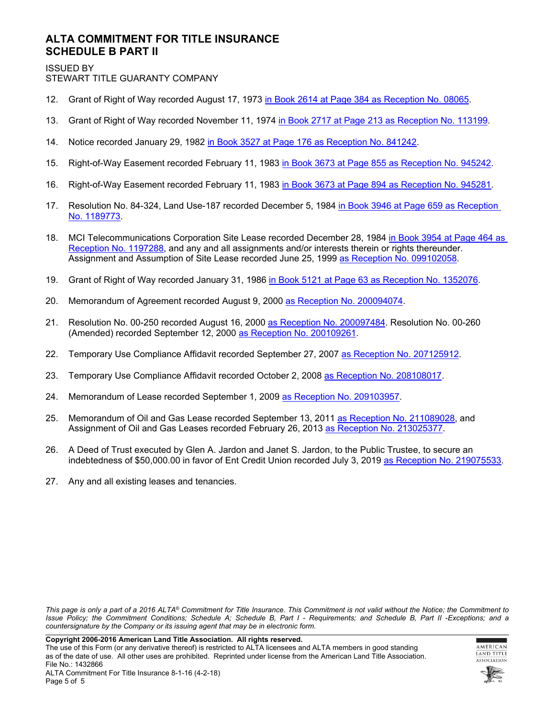## **ALTA COMMITMENT FOR TITLE INSURANCE SCHEDULE B PART II**

ISSUED BY

STEWART TITLE GUARANTY COMPANY

- 12. Grant of Right of Way recorded August 17, 1973 [in Book 2614 at Page 384 as Reception No. 08065.](https://starters.stewartworkplace.com/SSF/GetDocument?docId=3193074&stateFips=8&areaFips=41&rnd=1783912810&ver=0&recTypeId=627&ext=tiff&dummy=2ymxet7jnyrwwta7hgmwsj9t6dqm0b&forceFormat=PDF)
- 13. Grant of Right of Way recorded November 11, 1974 [in Book 2717 at Page 213 as Reception No. 113199](https://starters.stewartworkplace.com/SSF/GetDocument?docId=3193075&stateFips=8&areaFips=41&rnd=1512796267&ver=0&recTypeId=627&ext=tiff&dummy=anw52vzarb2nekstl8toe92qlmemf&forceFormat=PDF).
- 14. Notice recorded January 29, 1982 [in Book 3527 at Page 176 as Reception No. 841242.](https://starters.stewartworkplace.com/SSF/GetDocument?docId=119839&stateFips=8&areaFips=41&rnd=27056955&ver=0&recTypeId=627&ext=tiff&forceFormat=PDF)
- 15. Right-of-Way Easement recorded February 11, 1983 [in Book 3673 at Page 855 as Reception No. 945242.](https://starters.stewartworkplace.com/SSF/GetDocument?docId=852050&stateFips=8&areaFips=41&rnd=1608272563&ver=0&recTypeId=627&ext=tiff&dummy=2yn4bgi0fkz743d0cabr2z5fpx1qob&forceFormat=PDF)
- 16. Right-of-Way Easement recorded February 11, 1983 [in Book 3673 at Page 894 as Reception No. 945281.](https://starters.stewartworkplace.com/SSF/GetDocument?docId=3193086&stateFips=8&areaFips=41&rnd=292969195&ver=0&recTypeId=627&ext=tiff&dummy=2yn4c759e4ukmuj7af16nqmw7juo2d&forceFormat=PDF)
- 17. Resolution No. 84-324, Land Use-187 recorded December 5, 1984 [in Book 3946 at Page 659 as Reception](https://starters.stewartworkplace.com/SSF/GetDocument?docId=3193103&stateFips=8&areaFips=41&rnd=702042348&ver=0&recTypeId=627&ext=tiff&dummy=tn0s3bicp3ulrkw5d6jzehmkwz74is&forceFormat=PDF)  [No. 1189773.](https://starters.stewartworkplace.com/SSF/GetDocument?docId=3193103&stateFips=8&areaFips=41&rnd=702042348&ver=0&recTypeId=627&ext=tiff&dummy=tn0s3bicp3ulrkw5d6jzehmkwz74is&forceFormat=PDF)
- 18. MCI Telecommunications Corporation Site Lease recorded December 28, 1984 in Book 3954 at Page 464 as [Reception No. 1197288,](https://starters.stewartworkplace.com/SSF/GetDocument?docId=3193114&stateFips=8&areaFips=41&rnd=1123087467&ver=0&recTypeId=627&ext=tiff&dummy=2ymxepop0u0rx33rdmq1k7eghcc8gm&forceFormat=PDF) and any and all assignments and/or interests therein or rights thereunder. Assignment and Assumption of Site Lease recorded June 25, 1999 [as Reception No. 099102058](https://starters.stewartworkplace.com/SSF/GetDocument?docId=3193116&stateFips=8&areaFips=41&rnd=770454398&ver=0&recTypeId=627&ext=tiff&dummy=2ymufrb35a1w6svvh39xffkw2z60kw&forceFormat=PDF).
- 19. Grant of Right of Way recorded January 31, 1986 [in Book 5121 at Page 63 as Reception No. 1352076.](https://starters.stewartworkplace.com/SSF/GetDocument?docId=3193240&stateFips=8&areaFips=41&rnd=1011164693&ver=0&recTypeId=627&ext=tiff&dummy=2ymxepluql28123vwub7tb0zfrh5e4&forceFormat=PDF)
- 20. Memorandum of Agreement recorded August 9, 2000 [as Reception No. 200094074.](https://starters.stewartworkplace.com/SSF/GetDocument?docId=3193148&stateFips=8&areaFips=41&rnd=1510433386&ver=0&recTypeId=627&ext=tiff&dummy=anvud9iilm1eiqsux9ujyxxgkts4i&forceFormat=PDF)
- 21. Resolution No. 00-250 recorded August 16, 2000 [as Reception No. 200097484](https://starters.stewartworkplace.com/SSF/GetDocument?docId=332289&stateFips=8&areaFips=41&rnd=1942723330&ver=0&recTypeId=627&ext=tiff&forceFormat=PDF). Resolution No. 00-260 (Amended) recorded September 12, 2000 [as Reception No. 200109261](https://starters.stewartworkplace.com/SSF/GetDocument?docId=325057&stateFips=8&areaFips=41&rnd=998043505&ver=0&recTypeId=627&ext=tiff&dummy=tnvtfekre81afxhpq9k2nmxbcgr8wn&forceFormat=PDF).
- 22. Temporary Use Compliance Affidavit recorded September 27, 2007 [as Reception No. 207125912](https://starters.stewartworkplace.com/SSF/GetDocument?docId=3193167&stateFips=8&areaFips=41&rnd=592864056&ver=0&recTypeId=627&ext=tiff&dummy=anvuczt2v7yhdayyluevt1d27vafh&forceFormat=PDF).
- 23. Temporary Use Compliance Affidavit recorded October 2, 2008 [as Reception No. 208108017](https://starters.stewartworkplace.com/SSF/GetDocument?docId=3193177&stateFips=8&areaFips=41&rnd=787488613&ver=0&recTypeId=627&ext=tiff&dummy=12dzfp5ox6vdz8txmezmygbnawi8j&forceFormat=PDF).
- 24. Memorandum of Lease recorded September 1, 2009 [as Reception No. 209103957.](https://starters.stewartworkplace.com/SSF/GetDocument?docId=3193187&stateFips=8&areaFips=41&rnd=553610299&ver=0&recTypeId=627&ext=tiff&dummy=12dzfp4g4v3r0mkgr2chbcmd0aiec&forceFormat=PDF)
- 25. Memorandum of Oil and Gas Lease recorded September 13, 2011 [as Reception No. 211089028,](https://starters.stewartworkplace.com/SSF/GetDocument?docId=3193312&stateFips=8&areaFips=41&rnd=1598886356&ver=0&recTypeId=627&ext=tiff&forceFormat=PDF) and Assignment of Oil and Gas Leases recorded February 26, 2013 [as Reception No. 213025377.](https://starters.stewartworkplace.com/SSF/GetDocument?docId=3193303&stateFips=8&areaFips=41&rnd=1597575076&ver=0&recTypeId=627&ext=tiff&forceFormat=PDF)
- 26. A Deed of Trust executed by Glen A. Jardon and Janet S. Jardon, to the Public Trustee, to secure an indebtedness of \$50,000.00 in favor of Ent Credit Union recorded July 3, 2019 [as Reception No. 219075533](https://starters.stewartworkplace.com/SSF/GetDocument?docId=3193304&stateFips=8&areaFips=41&rnd=1224421314&ver=0&recTypeId=627&ext=tiff&dummy=2ymuflekzmelb5j8f8rvz40pnw0n2i&forceFormat=PDF).
- 27. Any and all existing leases and tenancies.

**Copyright 2006-2016 American Land Title Association. All rights reserved.** 

The use of this Form (or any derivative thereof) is restricted to ALTA licensees and ALTA members in good standing as of the date of use. All other uses are prohibited. Reprinted under license from the American Land Title Association. File No.: 1432866



*This page is only a part of a 2016 ALTA® Commitment for Title Insurance. This Commitment is not valid without the Notice; the Commitment to Issue Policy; the Commitment Conditions; Schedule A; Schedule B, Part I - Requirements; and Schedule B, Part II -Exceptions; and a countersignature by the Company or its issuing agent that may be in electronic form.*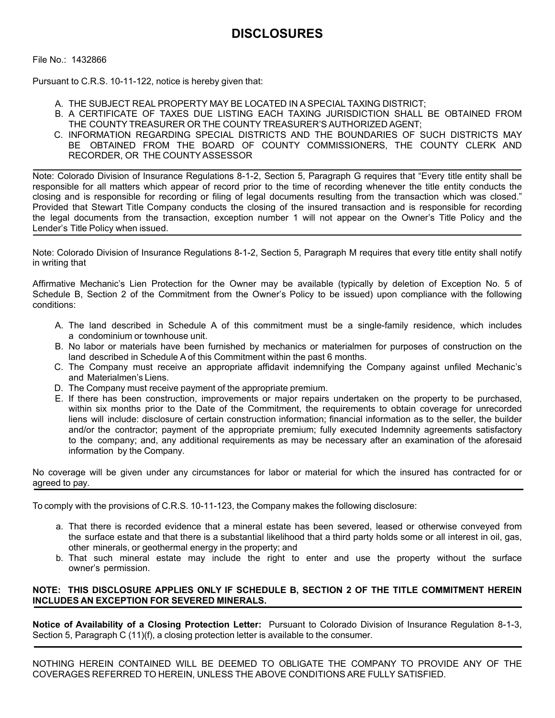File No.: 1432866

Pursuant to C.R.S. 10-11-122, notice is hereby given that:

- A. THE SUBJECT REAL PROPERTY MAY BE LOCATED IN A SPECIAL TAXING DISTRICT;
- B. A CERTIFICATE OF TAXES DUE LISTING EACH TAXING JURISDICTION SHALL BE OBTAINED FROM THE COUNTY TREASURER OR THE COUNTY TREASURER'S AUTHORIZED AGENT;
- C. INFORMATION REGARDING SPECIAL DISTRICTS AND THE BOUNDARIES OF SUCH DISTRICTS MAY BE OBTAINED FROM THE BOARD OF COUNTY COMMISSIONERS, THE COUNTY CLERK AND RECORDER, OR THE COUNTY ASSESSOR

Note: Colorado Division of Insurance Regulations 8-1-2, Section 5, Paragraph G requires that "Every title entity shall be responsible for all matters which appear of record prior to the time of recording whenever the title entity conducts the closing and is responsible for recording or filing of legal documents resulting from the transaction which was closed." Provided that Stewart Title Company conducts the closing of the insured transaction and is responsible for recording the legal documents from the transaction, exception number 1 will not appear on the Owner's Title Policy and the Lender's Title Policy when issued.

Note: Colorado Division of Insurance Regulations 8-1-2, Section 5, Paragraph M requires that every title entity shall notify in writing that

Affirmative Mechanic's Lien Protection for the Owner may be available (typically by deletion of Exception No. 5 of Schedule B, Section 2 of the Commitment from the Owner's Policy to be issued) upon compliance with the following conditions:

- A. The land described in Schedule A of this commitment must be a single-family residence, which includes a condominium or townhouse unit.
- B. No labor or materials have been furnished by mechanics or materialmen for purposes of construction on the land described in Schedule A of this Commitment within the past 6 months.
- C. The Company must receive an appropriate affidavit indemnifying the Company against unfiled Mechanic's and Materialmen's Liens.
- D. The Company must receive payment of the appropriate premium.
- E. If there has been construction, improvements or major repairs undertaken on the property to be purchased, within six months prior to the Date of the Commitment, the requirements to obtain coverage for unrecorded liens will include: disclosure of certain construction information; financial information as to the seller, the builder and/or the contractor; payment of the appropriate premium; fully executed Indemnity agreements satisfactory to the company; and, any additional requirements as may be necessary after an examination of the aforesaid information by the Company.

No coverage will be given under any circumstances for labor or material for which the insured has contracted for or agreed to pay.

To comply with the provisions of C.R.S. 10-11-123, the Company makes the following disclosure:

- a. That there is recorded evidence that a mineral estate has been severed, leased or otherwise conveyed from the surface estate and that there is a substantial likelihood that a third party holds some or all interest in oil, gas, other minerals, or geothermal energy in the property; and
- b. That such mineral estate may include the right to enter and use the property without the surface owner's permission.

## **NOTE: THIS DISCLOSURE APPLIES ONLY IF SCHEDULE B, SECTION 2 OF THE TITLE COMMITMENT HEREIN INCLUDES AN EXCEPTION FOR SEVERED MINERALS.**

**Notice of Availability of a Closing Protection Letter:** Pursuant to Colorado Division of Insurance Regulation 8-1-3, Section 5, Paragraph C (11)(f), a closing protection letter is available to the consumer.

NOTHING HEREIN CONTAINED WILL BE DEEMED TO OBLIGATE THE COMPANY TO PROVIDE ANY OF THE COVERAGES REFERRED TO HEREIN, UNLESS THE ABOVE CONDITIONS ARE FULLY SATISFIED.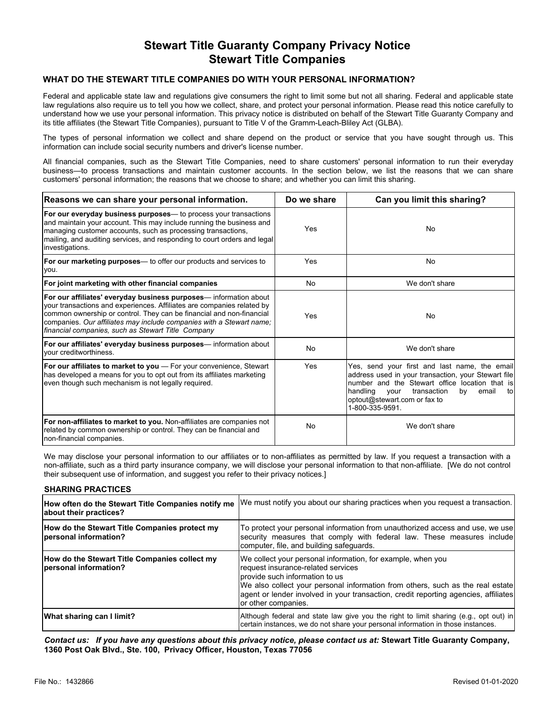## **Stewart Title Guaranty Company Privacy Notice Stewart Title Companies**

## **WHAT DO THE STEWART TITLE COMPANIES DO WITH YOUR PERSONAL INFORMATION?**

Federal and applicable state law and regulations give consumers the right to limit some but not all sharing. Federal and applicable state law regulations also require us to tell you how we collect, share, and protect your personal information. Please read this notice carefully to understand how we use your personal information. This privacy notice is distributed on behalf of the Stewart Title Guaranty Company and its title affiliates (the Stewart Title Companies), pursuant to Title V of the Gramm-Leach-Bliley Act (GLBA).

The types of personal information we collect and share depend on the product or service that you have sought through us. This information can include social security numbers and driver's license number.

All financial companies, such as the Stewart Title Companies, need to share customers' personal information to run their everyday business—to process transactions and maintain customer accounts. In the section below, we list the reasons that we can share customers' personal information; the reasons that we choose to share; and whether you can limit this sharing.

| Reasons we can share your personal information.                                                                                                                                                                                                                                                                                                   | Do we share | Can you limit this sharing?                                                                                                                                                                                                                                        |
|---------------------------------------------------------------------------------------------------------------------------------------------------------------------------------------------------------------------------------------------------------------------------------------------------------------------------------------------------|-------------|--------------------------------------------------------------------------------------------------------------------------------------------------------------------------------------------------------------------------------------------------------------------|
| For our everyday business purposes— to process your transactions<br>and maintain your account. This may include running the business and<br>managing customer accounts, such as processing transactions,<br>mailing, and auditing services, and responding to court orders and legal<br>investigations.                                           | Yes         | <b>No</b>                                                                                                                                                                                                                                                          |
| For our marketing purposes— to offer our products and services to<br>you.                                                                                                                                                                                                                                                                         | Yes         | <b>No</b>                                                                                                                                                                                                                                                          |
| For joint marketing with other financial companies                                                                                                                                                                                                                                                                                                | <b>No</b>   | We don't share                                                                                                                                                                                                                                                     |
| For our affiliates' everyday business purposes— information about<br>your transactions and experiences. Affiliates are companies related by<br>common ownership or control. They can be financial and non-financial<br>companies. Our affiliates may include companies with a Stewart name;<br>financial companies, such as Stewart Title Company | Yes         | <b>No</b>                                                                                                                                                                                                                                                          |
| For our affiliates' everyday business purposes— information about<br>vour creditworthiness.                                                                                                                                                                                                                                                       | <b>No</b>   | We don't share                                                                                                                                                                                                                                                     |
| Yes<br>For our affiliates to market to you - For your convenience, Stewart<br>has developed a means for you to opt out from its affiliates marketing<br>even though such mechanism is not legally required.                                                                                                                                       |             | Yes, send your first and last name, the email<br>address used in your transaction, your Stewart file<br>number and the Stewart office location that is<br>handling<br>email<br>transaction<br>by<br>vour<br>tol<br>optout@stewart.com or fax to<br>1-800-335-9591. |
| For non-affiliates to market to you. Non-affiliates are companies not<br>related by common ownership or control. They can be financial and<br>non-financial companies.                                                                                                                                                                            | <b>No</b>   | We don't share                                                                                                                                                                                                                                                     |

We may disclose your personal information to our affiliates or to non-affiliates as permitted by law. If you request a transaction with a non-affiliate, such as a third party insurance company, we will disclose your personal information to that non-affiliate. [We do not control their subsequent use of information, and suggest you refer to their privacy notices.]

#### **SHARING PRACTICES**

| How often do the Stewart Title Companies notify me<br>about their practices? | We must notify you about our sharing practices when you request a transaction.                                                                                                                                                                                                                                                        |
|------------------------------------------------------------------------------|---------------------------------------------------------------------------------------------------------------------------------------------------------------------------------------------------------------------------------------------------------------------------------------------------------------------------------------|
| How do the Stewart Title Companies protect my<br> personal information?      | To protect your personal information from unauthorized access and use, we use<br>security measures that comply with federal law. These measures include<br>computer, file, and building safequards.                                                                                                                                   |
| How do the Stewart Title Companies collect my<br> personal information?      | We collect your personal information, for example, when you<br>request insurance-related services<br>provide such information to us<br>We also collect your personal information from others, such as the real estate<br> agent or lender involved in your transaction, credit reporting agencies, affiliates <br>or other companies. |
| What sharing can I limit?                                                    | Although federal and state law give you the right to limit sharing (e.g., opt out) in<br>certain instances, we do not share your personal information in those instances.                                                                                                                                                             |

*Contact us: If you have any questions about this privacy notice, please contact us at:* **Stewart Title Guaranty Company, 1360 Post Oak Blvd., Ste. 100, Privacy Officer, Houston, Texas 77056**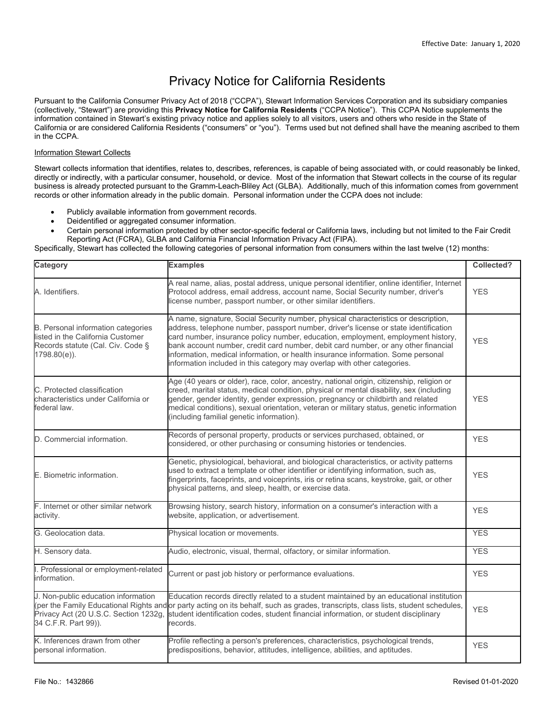## Privacy Notice for California Residents

Pursuant to the California Consumer Privacy Act of 2018 ("CCPA"), Stewart Information Services Corporation and its subsidiary companies (collectively, "Stewart") are providing this **Privacy Notice for California Residents** ("CCPA Notice"). This CCPA Notice supplements the information contained in Stewart's existing privacy notice and applies solely to all visitors, users and others who reside in the State of California or are considered California Residents ("consumers" or "you"). Terms used but not defined shall have the meaning ascribed to them in the CCPA.

## Information Stewart Collects

Stewart collects information that identifies, relates to, describes, references, is capable of being associated with, or could reasonably be linked, directly or indirectly, with a particular consumer, household, or device. Most of the information that Stewart collects in the course of its regular business is already protected pursuant to the Gramm-Leach-Bliley Act (GLBA). Additionally, much of this information comes from government records or other information already in the public domain. Personal information under the CCPA does not include:

- Publicly available information from government records.
- Deidentified or aggregated consumer information.
- Certain personal information protected by other sector-specific federal or California laws, including but not limited to the Fair Credit Reporting Act (FCRA), GLBA and California Financial Information Privacy Act (FIPA).

Specifically, Stewart has collected the following categories of personal information from consumers within the last twelve (12) months:

| Category                                                                                                                        | <b>Examples</b>                                                                                                                                                                                                                                                                                                                                                                                                                                                                                                       | Collected? |
|---------------------------------------------------------------------------------------------------------------------------------|-----------------------------------------------------------------------------------------------------------------------------------------------------------------------------------------------------------------------------------------------------------------------------------------------------------------------------------------------------------------------------------------------------------------------------------------------------------------------------------------------------------------------|------------|
| A. Identifiers.                                                                                                                 | A real name, alias, postal address, unique personal identifier, online identifier, Internet<br>Protocol address, email address, account name, Social Security number, driver's<br>license number, passport number, or other similar identifiers.                                                                                                                                                                                                                                                                      | <b>YES</b> |
| B. Personal information categories<br>listed in the California Customer<br>Records statute (Cal. Civ. Code §<br>$1798.80(e)$ ). | A name, signature, Social Security number, physical characteristics or description,<br>address, telephone number, passport number, driver's license or state identification<br>card number, insurance policy number, education, employment, employment history,<br>bank account number, credit card number, debit card number, or any other financial<br>information, medical information, or health insurance information. Some personal<br>information included in this category may overlap with other categories. | <b>YES</b> |
| C. Protected classification<br>characteristics under California or<br>federal law.                                              | Age (40 years or older), race, color, ancestry, national origin, citizenship, religion or<br>creed, marital status, medical condition, physical or mental disability, sex (including<br>gender, gender identity, gender expression, pregnancy or childbirth and related<br>medical conditions), sexual orientation, veteran or military status, genetic information<br>(including familial genetic information).                                                                                                      | <b>YES</b> |
| D. Commercial information.                                                                                                      | Records of personal property, products or services purchased, obtained, or<br>considered, or other purchasing or consuming histories or tendencies.                                                                                                                                                                                                                                                                                                                                                                   | <b>YES</b> |
| E. Biometric information.                                                                                                       | Genetic, physiological, behavioral, and biological characteristics, or activity patterns<br>used to extract a template or other identifier or identifying information, such as,<br>fingerprints, faceprints, and voiceprints, iris or retina scans, keystroke, gait, or other<br>physical patterns, and sleep, health, or exercise data.                                                                                                                                                                              | <b>YES</b> |
| F. Internet or other similar network<br>activity.                                                                               | Browsing history, search history, information on a consumer's interaction with a<br>website, application, or advertisement.                                                                                                                                                                                                                                                                                                                                                                                           | <b>YES</b> |
| G. Geolocation data.                                                                                                            | Physical location or movements.                                                                                                                                                                                                                                                                                                                                                                                                                                                                                       | <b>YES</b> |
| H. Sensory data.                                                                                                                | Audio, electronic, visual, thermal, olfactory, or similar information.                                                                                                                                                                                                                                                                                                                                                                                                                                                | <b>YES</b> |
| I. Professional or employment-related<br>information.                                                                           | Current or past job history or performance evaluations.                                                                                                                                                                                                                                                                                                                                                                                                                                                               | <b>YES</b> |
| J. Non-public education information<br>Privacy Act (20 U.S.C. Section 1232g,<br>34 C.F.R. Part 99)).                            | Education records directly related to a student maintained by an educational institution<br>(per the Family Educational Rights and or party acting on its behalf, such as grades, transcripts, class lists, student schedules,<br>student identification codes, student financial information, or student disciplinary<br>records.                                                                                                                                                                                    | <b>YES</b> |
| K. Inferences drawn from other<br>personal information.                                                                         | Profile reflecting a person's preferences, characteristics, psychological trends,<br>predispositions, behavior, attitudes, intelligence, abilities, and aptitudes.                                                                                                                                                                                                                                                                                                                                                    | <b>YES</b> |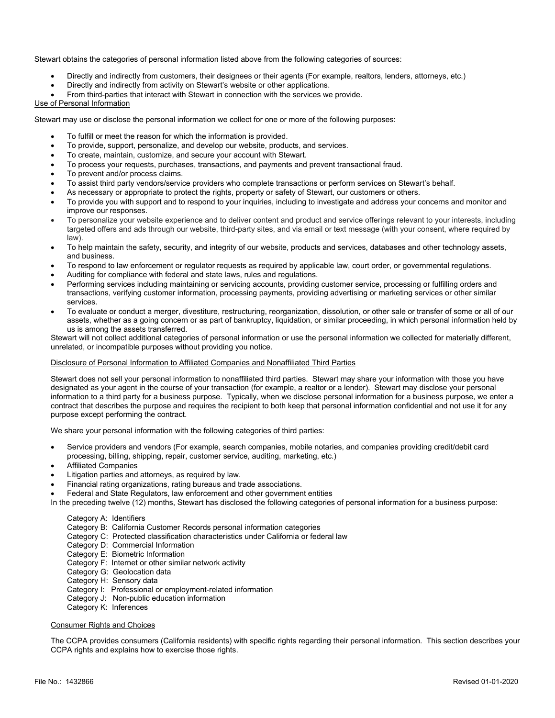Stewart obtains the categories of personal information listed above from the following categories of sources:

- Directly and indirectly from customers, their designees or their agents (For example, realtors, lenders, attorneys, etc.)
- Directly and indirectly from activity on Stewart's website or other applications.
- From third-parties that interact with Stewart in connection with the services we provide.

#### Use of Personal Information

Stewart may use or disclose the personal information we collect for one or more of the following purposes:

- To fulfill or meet the reason for which the information is provided.
- To provide, support, personalize, and develop our website, products, and services.
- To create, maintain, customize, and secure your account with Stewart.
- To process your requests, purchases, transactions, and payments and prevent transactional fraud.
- To prevent and/or process claims.
- To assist third party vendors/service providers who complete transactions or perform services on Stewart's behalf.
- As necessary or appropriate to protect the rights, property or safety of Stewart, our customers or others.
- To provide you with support and to respond to your inquiries, including to investigate and address your concerns and monitor and improve our responses.
- To personalize your website experience and to deliver content and product and service offerings relevant to your interests, including targeted offers and ads through our website, third-party sites, and via email or text message (with your consent, where required by law).
- To help maintain the safety, security, and integrity of our website, products and services, databases and other technology assets, and business.
- To respond to law enforcement or regulator requests as required by applicable law, court order, or governmental regulations.
- Auditing for compliance with federal and state laws, rules and regulations.
- Performing services including maintaining or servicing accounts, providing customer service, processing or fulfilling orders and transactions, verifying customer information, processing payments, providing advertising or marketing services or other similar services.
- To evaluate or conduct a merger, divestiture, restructuring, reorganization, dissolution, or other sale or transfer of some or all of our assets, whether as a going concern or as part of bankruptcy, liquidation, or similar proceeding, in which personal information held by us is among the assets transferred.

Stewart will not collect additional categories of personal information or use the personal information we collected for materially different, unrelated, or incompatible purposes without providing you notice.

#### Disclosure of Personal Information to Affiliated Companies and Nonaffiliated Third Parties

Stewart does not sell your personal information to nonaffiliated third parties. Stewart may share your information with those you have designated as your agent in the course of your transaction (for example, a realtor or a lender). Stewart may disclose your personal information to a third party for a business purpose. Typically, when we disclose personal information for a business purpose, we enter a contract that describes the purpose and requires the recipient to both keep that personal information confidential and not use it for any purpose except performing the contract.

We share your personal information with the following categories of third parties:

- Service providers and vendors (For example, search companies, mobile notaries, and companies providing credit/debit card processing, billing, shipping, repair, customer service, auditing, marketing, etc.)
- Affiliated Companies
- Litigation parties and attorneys, as required by law.
- Financial rating organizations, rating bureaus and trade associations.
- Federal and State Regulators, law enforcement and other government entities

In the preceding twelve (12) months, Stewart has disclosed the following categories of personal information for a business purpose:

#### Category A: Identifiers

- Category B: California Customer Records personal information categories
- Category C: Protected classification characteristics under California or federal law
- Category D: Commercial Information
- Category E: Biometric Information
- Category F: Internet or other similar network activity
- Category G: Geolocation data
- Category H: Sensory data
- Category I: Professional or employment-related information
- Category J: Non-public education information
- Category K: Inferences

#### Consumer Rights and Choices

The CCPA provides consumers (California residents) with specific rights regarding their personal information. This section describes your CCPA rights and explains how to exercise those rights.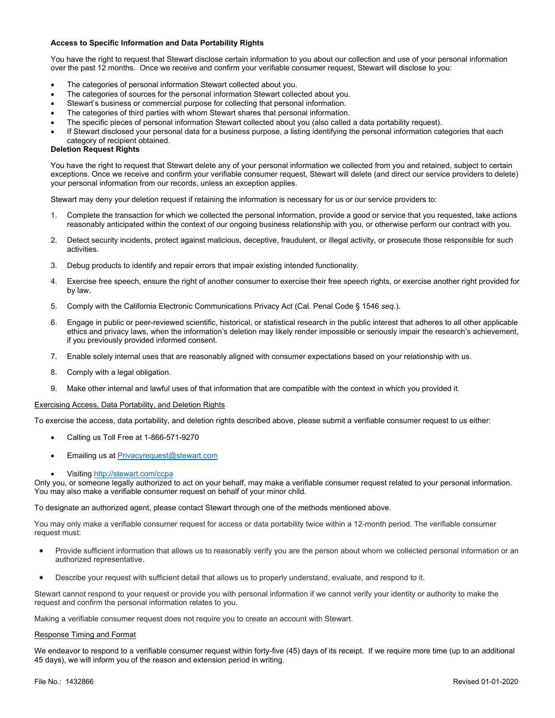#### **Access to Specific Information and Data Portability Rights**

You have the right to request that Stewart disclose certain information to you about our collection and use of your personal information over the past 12 months. Once we receive and confirm your verifiable consumer request, Stewart will disclose to you:

- The categories of personal information Stewart collected about you.
- The categories of sources for the personal information Stewart collected about you.
- Stewart's business or commercial purpose for collecting that personal information.
- The categories of third parties with whom Stewart shares that personal information.
- The specific pieces of personal information Stewart collected about you (also called a data portability request).
- If Stewart disclosed your personal data for a business purpose, a listing identifying the personal information categories that each category of recipient obtained.

#### **Deletion Request Rights**

You have the right to request that Stewart delete any of your personal information we collected from you and retained, subject to certain exceptions. Once we receive and confirm your verifiable consumer request, Stewart will delete (and direct our service providers to delete) your personal information from our records, unless an exception applies.

Stewart may deny your deletion request if retaining the information is necessary for us or our service providers to:

- 1. Complete the transaction for which we collected the personal information, provide a good or service that you requested, take actions reasonably anticipated within the context of our ongoing business relationship with you, or otherwise perform our contract with you.
- 2. Detect security incidents, protect against malicious, deceptive, fraudulent, or illegal activity, or prosecute those responsible for such activities.
- 3. Debug products to identify and repair errors that impair existing intended functionality.
- 4. Exercise free speech, ensure the right of another consumer to exercise their free speech rights, or exercise another right provided for by law.
- 5. Comply with the California Electronic Communications Privacy Act (Cal. Penal Code § 1546 *seq.*).
- 6. Engage in public or peer-reviewed scientific, historical, or statistical research in the public interest that adheres to all other applicable ethics and privacy laws, when the information's deletion may likely render impossible or seriously impair the research's achievement, if you previously provided informed consent.
- 7. Enable solely internal uses that are reasonably aligned with consumer expectations based on your relationship with us.
- 8. Comply with a legal obligation.
- 9. Make other internal and lawful uses of that information that are compatible with the context in which you provided it.

#### Exercising Access, Data Portability, and Deletion Rights

To exercise the access, data portability, and deletion rights described above, please submit a verifiable consumer request to us either:

- Calling us Toll Free at 1-866-571-9270
- Emailing us at [Privacyrequest@stewart.com](mailto:Privacyrequest@stewart.com)
- Visiting <http://stewart.com/ccpa>

Only you, or someone legally authorized to act on your behalf, may make a verifiable consumer request related to your personal information. You may also make a verifiable consumer request on behalf of your minor child.

To designate an authorized agent, please contact Stewart through one of the methods mentioned above.

You may only make a verifiable consumer request for access or data portability twice within a 12-month period. The verifiable consumer request must:

- Provide sufficient information that allows us to reasonably verify you are the person about whom we collected personal information or an authorized representative.
- Describe your request with sufficient detail that allows us to properly understand, evaluate, and respond to it.

Stewart cannot respond to your request or provide you with personal information if we cannot verify your identity or authority to make the request and confirm the personal information relates to you.

Making a verifiable consumer request does not require you to create an account with Stewart.

#### Response Timing and Format

We endeavor to respond to a verifiable consumer request within forty-five (45) days of its receipt. If we require more time (up to an additional 45 days), we will inform you of the reason and extension period in writing.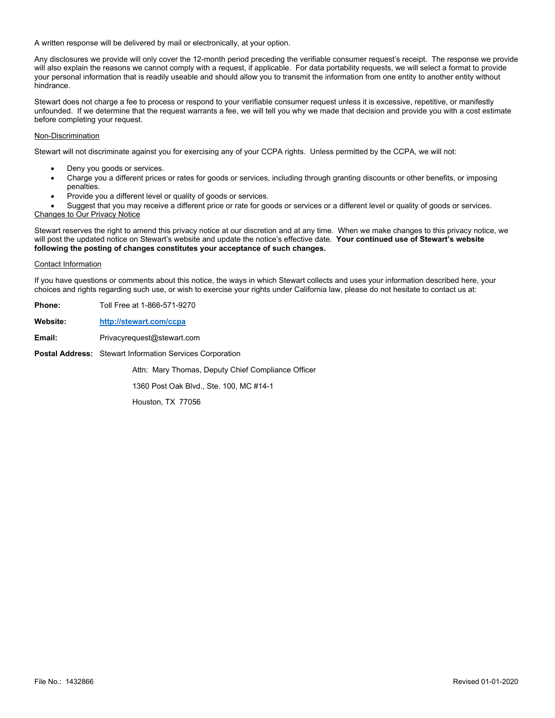A written response will be delivered by mail or electronically, at your option.

Any disclosures we provide will only cover the 12-month period preceding the verifiable consumer request's receipt. The response we provide will also explain the reasons we cannot comply with a request, if applicable. For data portability requests, we will select a format to provide your personal information that is readily useable and should allow you to transmit the information from one entity to another entity without hindrance.

Stewart does not charge a fee to process or respond to your verifiable consumer request unless it is excessive, repetitive, or manifestly unfounded. If we determine that the request warrants a fee, we will tell you why we made that decision and provide you with a cost estimate before completing your request.

#### Non-Discrimination

Stewart will not discriminate against you for exercising any of your CCPA rights. Unless permitted by the CCPA, we will not:

- Deny you goods or services.
- Charge you a different prices or rates for goods or services, including through granting discounts or other benefits, or imposing penalties.
- Provide you a different level or quality of goods or services.

 Suggest that you may receive a different price or rate for goods or services or a different level or quality of goods or services. Changes to Our Privacy Notice

Stewart reserves the right to amend this privacy notice at our discretion and at any time. When we make changes to this privacy notice, we will post the updated notice on Stewart's website and update the notice's effective date. **Your continued use of Stewart's website following the posting of changes constitutes your acceptance of such changes.**

#### Contact Information

If you have questions or comments about this notice, the ways in which Stewart collects and uses your information described here, your choices and rights regarding such use, or wish to exercise your rights under California law, please do not hesitate to contact us at:

| Phone:   | Toll Free at 1-866-571-9270                                     |
|----------|-----------------------------------------------------------------|
| Website: | http://stewart.com/ccpa                                         |
| Email:   | Privacyrequest@stewart.com                                      |
|          | <b>Postal Address:</b> Stewart Information Services Corporation |
|          | Attn: Mary Thomas, Deputy Chief Compliance Officer              |
|          | 1360 Post Oak Blvd., Ste. 100, MC #14-1                         |
|          | Houston, TX 77056                                               |